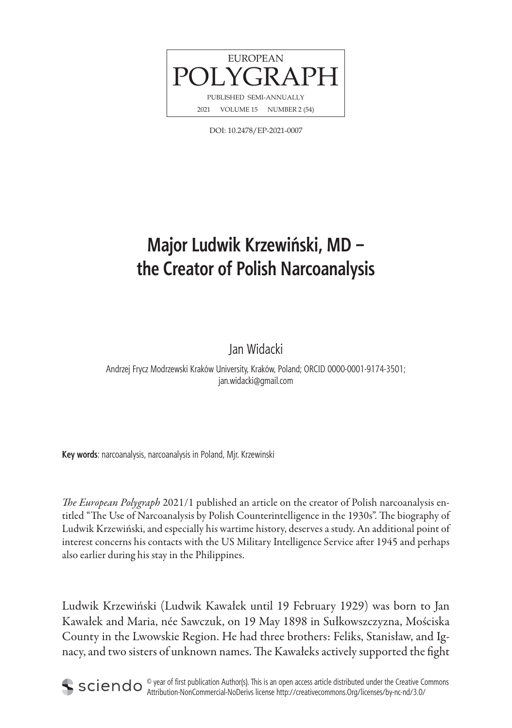

DOI: 10.2478/EP-2021-0007

# **Major Ludwik Krzewiński, MD – the Creator of Polish Narcoanalysis**

Jan Widacki

Andrzej Frycz Modrzewski Kraków University, Kraków, Poland; ORCID 0000-0001-9174-3501; jan.widacki@gmail.com

**Key words**: narcoanalysis, narcoanalysis in Poland, Mjr. Krzewinski

*The European Polygraph* 2021/1 published an article on the creator of Polish narcoanalysis entitled "The Use of Narcoanalysis by Polish Counterintelligence in the 1930s". The biography of Ludwik Krzewiński, and especially his wartime history, deserves a study. An additional point of interest concerns his contacts with the US Military Intelligence Service after 1945 and perhaps also earlier during his stay in the Philippines.

Ludwik Krzewiński (Ludwik Kawałek until 19 February 1929) was born to Jan Kawałek and Maria, née Sawczuk, on 19 May 1898 in Sułkowszczyzna, Mościska County in the Lwowskie Region. He had three brothers: Feliks, Stanisław, and Ignacy, and two sisters of unknown names. The Kawałeks actively supported the fight



 $\circ$  year of first publication Author(s). This is an open access article distributed under the Creative Commons Attribution-NonCommercial-NoDerivs license http://creativecommons.Org/licenses/by-nc-nd/3.0/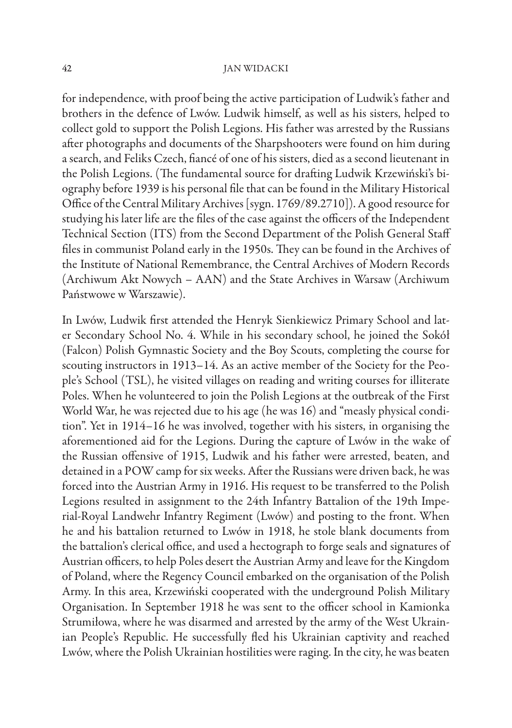for independence, with proof being the active participation of Ludwik's father and brothers in the defence of Lwów. Ludwik himself, as well as his sisters, helped to collect gold to support the Polish Legions. His father was arrested by the Russians after photographs and documents of the Sharpshooters were found on him during a search, and Feliks Czech, fiancé of one of his sisters, died as a second lieutenant in the Polish Legions. (The fundamental source for drafting Ludwik Krzewiński's biography before 1939 is his personal file that can be found in the Military Historical Office of the Central Military Archives [sygn. 1769/89.2710]). A good resource for studying his later life are the files of the case against the officers of the Independent Technical Section (ITS) from the Second Department of the Polish General Staff files in communist Poland early in the 1950s. They can be found in the Archives of the Institute of National Remembrance, the Central Archives of Modern Records (Archiwum Akt Nowych – AAN) and the State Archives in Warsaw (Archiwum Państwowe w Warszawie).

In Lwów, Ludwik first attended the Henryk Sienkiewicz Primary School and later Secondary School No. 4. While in his secondary school, he joined the Sokół (Falcon) Polish Gymnastic Society and the Boy Scouts, completing the course for scouting instructors in 1913–14. As an active member of the Society for the People's School (TSL), he visited villages on reading and writing courses for illiterate Poles. When he volunteered to join the Polish Legions at the outbreak of the First World War, he was rejected due to his age (he was 16) and "measly physical condition". Yet in 1914–16 he was involved, together with his sisters, in organising the aforementioned aid for the Legions. During the capture of Lwów in the wake of the Russian offensive of 1915, Ludwik and his father were arrested, beaten, and detained in a POW camp for six weeks. After the Russians were driven back, he was forced into the Austrian Army in 1916. His request to be transferred to the Polish Legions resulted in assignment to the 24th Infantry Battalion of the 19th Imperial-Royal Landwehr Infantry Regiment (Lwów) and posting to the front. When he and his battalion returned to Lwów in 1918, he stole blank documents from the battalion's clerical office, and used a hectograph to forge seals and signatures of Austrian officers, to help Poles desert the Austrian Army and leave for the Kingdom of Poland, where the Regency Council embarked on the organisation of the Polish Army. In this area, Krzewiński cooperated with the underground Polish Military Organisation. In September 1918 he was sent to the officer school in Kamionka Strumiłowa, where he was disarmed and arrested by the army of the West Ukrainian People's Republic. He successfully fled his Ukrainian captivity and reached Lwów, where the Polish Ukrainian hostilities were raging. In the city, he was beaten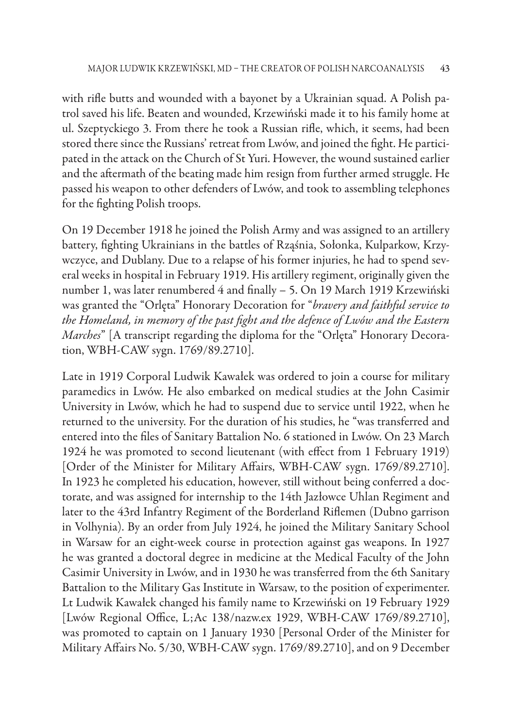with rifle butts and wounded with a bayonet by a Ukrainian squad. A Polish patrol saved his life. Beaten and wounded, Krzewiński made it to his family home at ul. Szeptyckiego 3. From there he took a Russian rifle, which, it seems, had been stored there since the Russians' retreat from Lwów, and joined the fight. He participated in the attack on the Church of St Yuri. However, the wound sustained earlier and the aftermath of the beating made him resign from further armed struggle. He passed his weapon to other defenders of Lwów, and took to assembling telephones for the fighting Polish troops.

On 19 December 1918 he joined the Polish Army and was assigned to an artillery battery, fighting Ukrainians in the battles of Rząśnia, Sołonka, Kulparkow, Krzywczyce, and Dublany. Due to a relapse of his former injuries, he had to spend several weeks in hospital in February 1919. His artillery regiment, originally given the number 1, was later renumbered 4 and finally - 5. On 19 March 1919 Krzewiński was granted the "Orlęta" Honorary Decoration for "*bravery and faithful service to*  the Homeland, in memory of the past fight and the defence of Lwów and the Eastern *Marches*" [A transcript regarding the diploma for the "Orlęta" Honorary Decoration, WBH-CAW sygn. 1769/89.2710].

Late in 1919 Corporal Ludwik Kawałek was ordered to join a course for military paramedics in Lwów. He also embarked on medical studies at the John Casimir University in Lwów, which he had to suspend due to service until 1922, when he returned to the university. For the duration of his studies, he "was transferred and entered into the files of Sanitary Battalion No. 6 stationed in Lwów. On 23 March 1924 he was promoted to second lieutenant (with effect from 1 February 1919) [Order of the Minister for Military Affairs, WBH-CAW sygn. 1769/89.2710]. In 1923 he completed his education, however, still without being conferred a doctorate, and was assigned for internship to the 14th Jazłowce Uhlan Regiment and later to the 43rd Infantry Regiment of the Borderland Riflemen (Dubno garrison in Volhynia). By an order from July 1924, he joined the Military Sanitary School in Warsaw for an eight-week course in protection against gas weapons. In 1927 he was granted a doctoral degree in medicine at the Medical Faculty of the John Casimir University in Lwów, and in 1930 he was transferred from the 6th Sanitary Battalion to the Military Gas Institute in Warsaw, to the position of experimenter. Lt Ludwik Kawałek changed his family name to Krzewiński on 19 February 1929 [Lwów Regional Office, L;Ac 138/nazw.ex 1929, WBH-CAW 1769/89.2710], was promoted to captain on 1 January 1930 [Personal Order of the Minister for Military Affairs No. 5/30, WBH-CAW sygn. 1769/89.2710, and on 9 December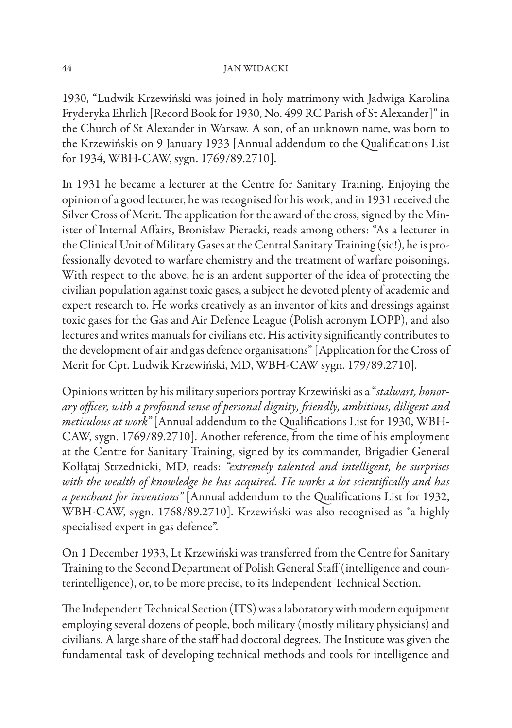1930, "Ludwik Krzewiński was joined in holy matrimony with Jadwiga Karolina Fryderyka Ehrlich [Record Book for 1930, No. 499 RC Parish of St Alexander]" in the Church of St Alexander in Warsaw. A son, of an unknown name, was born to the Krzewińskis on 9 January 1933 [Annual addendum to the Qualifications List for 1934, WBH-CAW, sygn. 1769/89.2710].

In 1931 he became a lecturer at the Centre for Sanitary Training. Enjoying the opinion of a good lecturer, he was recognised for his work, and in 1931 received the Silver Cross of Merit. The application for the award of the cross, signed by the Minister of Internal Affairs, Bronisław Pieracki, reads among others: "As a lecturer in the Clinical Unit of Military Gases at the Central Sanitary Training (sic!), he is professionally devoted to warfare chemistry and the treatment of warfare poisonings. With respect to the above, he is an ardent supporter of the idea of protecting the civilian population against toxic gases, a subject he devoted plenty of academic and expert research to. He works creatively as an inventor of kits and dressings against toxic gases for the Gas and Air Defence League (Polish acronym LOPP), and also lectures and writes manuals for civilians etc. His activity significantly contributes to the development of air and gas defence organisations" [Application for the Cross of Merit for Cpt. Ludwik Krzewiński, MD, WBH-CAW sygn. 179/89.2710].

Opinions written by his military superiors portray Krzewiński as a "*stalwart, honor*ary officer, with a profound sense of personal dignity, friendly, ambitious, diligent and *meticulous at work"* [Annual addendum to the Qualifications List for 1930, WBH-CAW, sygn. 1769/89.2710]. Another reference, from the time of his employment at the Centre for Sanitary Training, signed by its commander, Brigadier General Kołłątaj Strzednicki, MD, reads: *"extremely talented and intelligent, he surprises*  with the wealth of knowledge he has acquired. He works a lot scientifically and has *a penchant for inventions*" [Annual addendum to the Qualifications List for 1932, WBH-CAW, sygn. 1768/89.2710]. Krzewiński was also recognised as "a highly specialised expert in gas defence".

On 1 December 1933, Lt Krzewiński was transferred from the Centre for Sanitary Training to the Second Department of Polish General Staff (intelligence and counterintelligence), or, to be more precise, to its Independent Technical Section.

The Independent Technical Section (ITS) was a laboratory with modern equipment employing several dozens of people, both military (mostly military physicians) and civilians. A large share of the staff had doctoral degrees. The Institute was given the fundamental task of developing technical methods and tools for intelligence and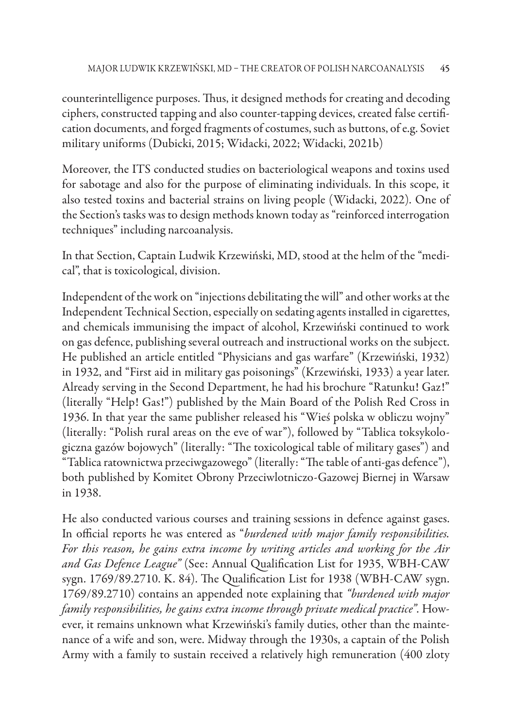counterintelligence purposes. Thus, it designed methods for creating and decoding ciphers, constructed tapping and also counter-tapping devices, created false certifi cation documents, and forged fragments of costumes, such as buttons, of e.g. Soviet military uniforms (Dubicki, 2015; Widacki, 2022; Widacki, 2021b)

Moreover, the ITS conducted studies on bacteriological weapons and toxins used for sabotage and also for the purpose of eliminating individuals. In this scope, it also tested toxins and bacterial strains on living people (Widacki, 2022). One of the Section's tasks was to design methods known today as "reinforced interrogation techniques" including narcoanalysis.

In that Section, Captain Ludwik Krzewiński, MD, stood at the helm of the "medical", that is toxicological, division.

Independent of the work on "injections debilitating the will" and other works at the Independent Technical Section, especially on sedating agents installed in cigarettes, and chemicals immunising the impact of alcohol, Krzewiński continued to work on gas defence, publishing several outreach and instructional works on the subject. He published an article entitled "Physicians and gas warfare" (Krzewiński, 1932) in 1932, and "First aid in military gas poisonings" (Krzewiński, 1933) a year later. Already serving in the Second Department, he had his brochure "Ratunku! Gaz!" (literally "Help! Gas!") published by the Main Board of the Polish Red Cross in 1936. In that year the same publisher released his "Wieś polska w obliczu wojny" (literally: "Polish rural areas on the eve of war"), followed by "Tablica toksykologiczna gazów bojowych" (literally: "The toxicological table of military gases") and "Tablica ratownictwa przeciwgazowego" (literally: "The table of anti-gas defence"), both published by Komitet Obrony Przeciwlotniczo-Gazowej Biernej in Warsaw in 1938.

He also conducted various courses and training sessions in defence against gases. In official reports he was entered as "*burdened with major family responsibilities*. *For this reason, he gains extra income by writing articles and working for the Air and Gas Defence League"* (See: Annual Qualification List for 1935, WBH-CAW sygn. 1769/89.2710. K. 84). The Qualification List for 1938 (WBH-CAW sygn. 1769/89.2710) contains an appended note explaining that *"burdened with major family responsibilities, he gains extra income through private medical practice"*. However, it remains unknown what Krzewiński's family duties, other than the maintenance of a wife and son, were. Midway through the 1930s, a captain of the Polish Army with a family to sustain received a relatively high remuneration (400 zloty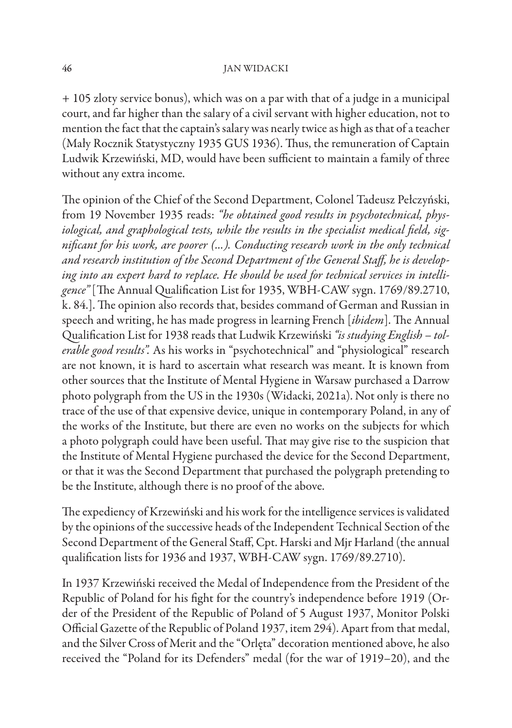+ 105 zloty service bonus), which was on a par with that of a judge in a municipal court, and far higher than the salary of a civil servant with higher education, not to mention the fact that the captain's salary was nearly twice as high as that of a teacher (Mały Rocznik Statystyczny 1935 GUS 1936). Thus, the remuneration of Captain Ludwik Krzewiński, MD, would have been sufficient to maintain a family of three without any extra income.

The opinion of the Chief of the Second Department, Colonel Tadeusz Pełczyński, from 19 November 1935 reads: *"he obtained good results in psychotechnical, physiological, and graphological tests, while the results in the specialist medical field, signifi cant for his work, are poorer (...). Conducting research work in the only technical and research institution of the Second Department of the General Staff , he is developing into an expert hard to replace. He should be used for technical services in intelli*gence" [The Annual Qualification List for 1935, WBH-CAW sygn. 1769/89.2710, k. 84.]. The opinion also records that, besides command of German and Russian in speech and writing, he has made progress in learning French [*ibidem*]. The Annual Qualification List for 1938 reads that Ludwik Krzewiński "*is studying English - tolerable good results".* As his works in "psychotechnical" and "physiological" research are not known, it is hard to ascertain what research was meant. It is known from other sources that the Institute of Mental Hygiene in Warsaw purchased a Darrow photo polygraph from the US in the 1930s (Widacki, 2021a). Not only is there no trace of the use of that expensive device, unique in contemporary Poland, in any of the works of the Institute, but there are even no works on the subjects for which a photo polygraph could have been useful. That may give rise to the suspicion that the Institute of Mental Hygiene purchased the device for the Second Department, or that it was the Second Department that purchased the polygraph pretending to be the Institute, although there is no proof of the above.

The expediency of Krzewiński and his work for the intelligence services is validated by the opinions of the successive heads of the Independent Technical Section of the Second Department of the General Staff, Cpt. Harski and Mjr Harland (the annual qualification lists for 1936 and 1937, WBH-CAW sygn. 1769/89.2710).

In 1937 Krzewiński received the Medal of Independence from the President of the Republic of Poland for his fight for the country's independence before 1919 (Order of the President of the Republic of Poland of 5 August 1937, Monitor Polski Official Gazette of the Republic of Poland 1937, item 294). Apart from that medal, and the Silver Cross of Merit and the "Orlęta" decoration mentioned above, he also received the "Poland for its Defenders" medal (for the war of 1919–20), and the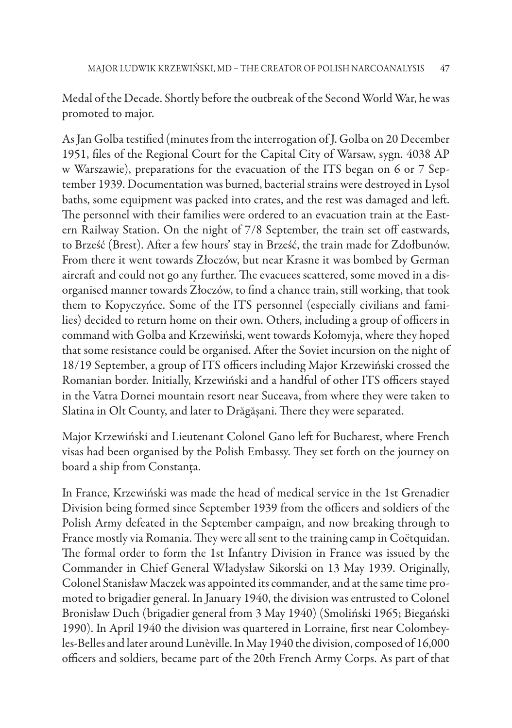Medal of the Decade. Shortly before the outbreak of the Second World War, he was promoted to major.

As Jan Golba testified (minutes from the interrogation of J. Golba on 20 December 1951, files of the Regional Court for the Capital City of Warsaw, sygn. 4038 AP w Warszawie), preparations for the evacuation of the ITS began on 6 or 7 September 1939. Documentation was burned, bacterial strains were destroyed in Lysol baths, some equipment was packed into crates, and the rest was damaged and left. The personnel with their families were ordered to an evacuation train at the Eastern Railway Station. On the night of 7/8 September, the train set off eastwards, to Brześć (Brest). After a few hours' stay in Brześć, the train made for Zdołbunów. From there it went towards Złoczów, but near Krasne it was bombed by German aircraft and could not go any further. The evacuees scattered, some moved in a disorganised manner towards Złoczów, to find a chance train, still working, that took them to Kopyczyńce. Some of the ITS personnel (especially civilians and families) decided to return home on their own. Others, including a group of officers in command with Golba and Krzewiński, went towards Kołomyja, where they hoped that some resistance could be organised. After the Soviet incursion on the night of 18/19 September, a group of ITS officers including Major Krzewiński crossed the Romanian border. Initially, Krzewiński and a handful of other ITS officers stayed in the Vatra Dornei mountain resort near Suceava, from where they were taken to Slatina in Olt County, and later to Drăgășani. There they were separated.

Major Krzewiński and Lieutenant Colonel Gano left for Bucharest, where French visas had been organised by the Polish Embassy. They set forth on the journey on board a ship from Constanța.

In France, Krzewiński was made the head of medical service in the 1st Grenadier Division being formed since September 1939 from the officers and soldiers of the Polish Army defeated in the September campaign, and now breaking through to France mostly via Romania. They were all sent to the training camp in Coëtquidan. The formal order to form the 1st Infantry Division in France was issued by the Commander in Chief General Władysław Sikorski on 13 May 1939. Originally, Colonel Stanisław Maczek was appointed its commander, and at the same time promoted to brigadier general. In January 1940, the division was entrusted to Colonel Bronisław Duch (brigadier general from 3 May 1940) (Smoliński 1965; Biegański 1990). In April 1940 the division was quartered in Lorraine, first near Colombeyles-Belles and later around Lunѐville. In May 1940 the division, composed of 16,000 officers and soldiers, became part of the 20th French Army Corps. As part of that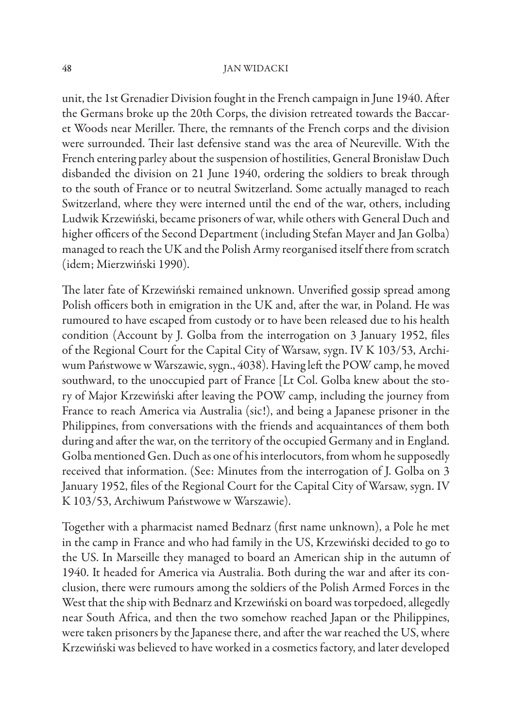unit, the 1st Grenadier Division fought in the French campaign in June 1940. After the Germans broke up the 20th Corps, the division retreated towards the Baccaret Woods near Meriller. There, the remnants of the French corps and the division were surrounded. Their last defensive stand was the area of Neureville. With the French entering parley about the suspension of hostilities, General Bronisław Duch disbanded the division on 21 June 1940, ordering the soldiers to break through to the south of France or to neutral Switzerland. Some actually managed to reach Switzerland, where they were interned until the end of the war, others, including Ludwik Krzewiński, became prisoners of war, while others with General Duch and higher officers of the Second Department (including Stefan Mayer and Jan Golba) managed to reach the UK and the Polish Army reorganised itself there from scratch (idem; Mierzwiński 1990).

The later fate of Krzewiński remained unknown. Unverified gossip spread among Polish officers both in emigration in the UK and, after the war, in Poland. He was rumoured to have escaped from custody or to have been released due to his health condition (Account by J. Golba from the interrogation on 3 January 1952, files of the Regional Court for the Capital City of Warsaw, sygn. IV K 103/53, Archiwum Państwowe w Warszawie, sygn., 4038). Having left the POW camp, he moved southward, to the unoccupied part of France [Lt Col. Golba knew about the story of Major Krzewiński after leaving the POW camp, including the journey from France to reach America via Australia (sic!), and being a Japanese prisoner in the Philippines, from conversations with the friends and acquaintances of them both during and after the war, on the territory of the occupied Germany and in England. Golba mentioned Gen. Duch as one of his interlocutors, from whom he supposedly received that information. (See: Minutes from the interrogation of J. Golba on 3 January 1952, files of the Regional Court for the Capital City of Warsaw, sygn. IV K 103/53, Archiwum Państwowe w Warszawie).

Together with a pharmacist named Bednarz (first name unknown), a Pole he met in the camp in France and who had family in the US, Krzewiński decided to go to the US. In Marseille they managed to board an American ship in the autumn of 1940. It headed for America via Australia. Both during the war and after its conclusion, there were rumours among the soldiers of the Polish Armed Forces in the West that the ship with Bednarz and Krzewiński on board was torpedoed, allegedly near South Africa, and then the two somehow reached Japan or the Philippines, were taken prisoners by the Japanese there, and after the war reached the US, where Krzewiński was believed to have worked in a cosmetics factory, and later developed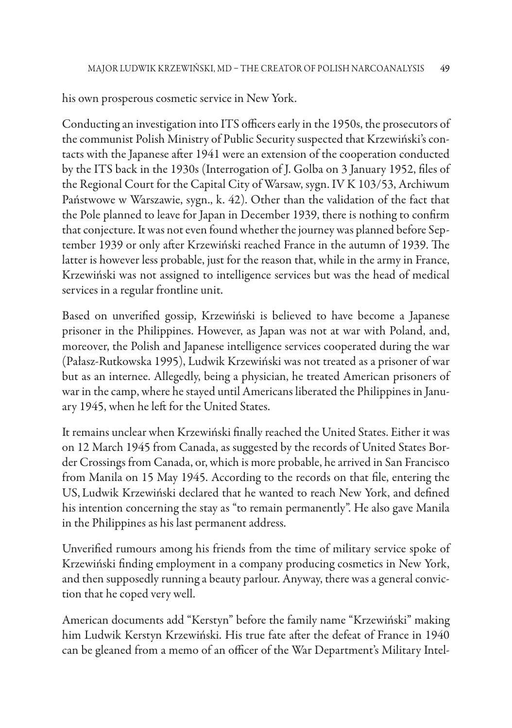his own prosperous cosmetic service in New York.

Conducting an investigation into ITS officers early in the 1950s, the prosecutors of the communist Polish Ministry of Public Security suspected that Krzewiński's contacts with the Japanese after 1941 were an extension of the cooperation conducted by the ITS back in the 1930s (Interrogation of J. Golba on 3 January 1952, files of the Regional Court for the Capital City of Warsaw, sygn. IV K 103/53, Archiwum Państwowe w Warszawie, sygn., k. 42). Other than the validation of the fact that the Pole planned to leave for Japan in December 1939, there is nothing to confirm that conjecture. It was not even found whether the journey was planned before September 1939 or only after Krzewiński reached France in the autumn of 1939. The latter is however less probable, just for the reason that, while in the army in France, Krzewiński was not assigned to intelligence services but was the head of medical services in a regular frontline unit.

Based on unverified gossip, Krzewiński is believed to have become a Japanese prisoner in the Philippines. However, as Japan was not at war with Poland, and, moreover, the Polish and Japanese intelligence services cooperated during the war (Pałasz-Rutkowska 1995), Ludwik Krzewiński was not treated as a prisoner of war but as an internee. Allegedly, being a physician, he treated American prisoners of war in the camp, where he stayed until Americans liberated the Philippines in January 1945, when he left for the United States.

It remains unclear when Krzewiński finally reached the United States. Either it was on 12 March 1945 from Canada, as suggested by the records of United States Border Crossings from Canada, or, which is more probable, he arrived in San Francisco from Manila on 15 May 1945. According to the records on that file, entering the US, Ludwik Krzewiński declared that he wanted to reach New York, and defined his intention concerning the stay as "to remain permanently". He also gave Manila in the Philippines as his last permanent address.

Unverified rumours among his friends from the time of military service spoke of Krzewiński finding employment in a company producing cosmetics in New York, and then supposedly running a beauty parlour. Anyway, there was a general conviction that he coped very well.

American documents add "Kerstyn" before the family name "Krzewiński" making him Ludwik Kerstyn Krzewiński. His true fate after the defeat of France in 1940 can be gleaned from a memo of an officer of the War Department's Military Intel-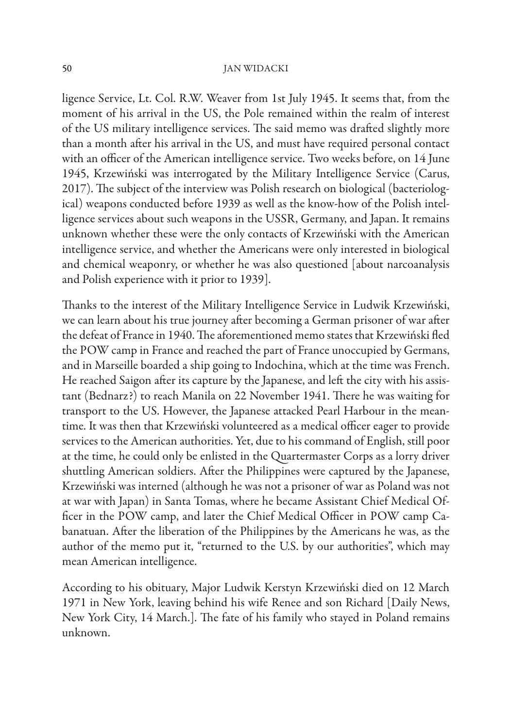ligence Service, Lt. Col. R.W. Weaver from 1st July 1945. It seems that, from the moment of his arrival in the US, the Pole remained within the realm of interest of the US military intelligence services. The said memo was drafted slightly more than a month after his arrival in the US, and must have required personal contact with an officer of the American intelligence service. Two weeks before, on 14 June 1945, Krzewiński was interrogated by the Military Intelligence Service (Carus, 2017). The subject of the interview was Polish research on biological (bacteriological) weapons conducted before 1939 as well as the know-how of the Polish intelligence services about such weapons in the USSR, Germany, and Japan. It remains unknown whether these were the only contacts of Krzewiński with the American intelligence service, and whether the Americans were only interested in biological and chemical weaponry, or whether he was also questioned [about narcoanalysis and Polish experience with it prior to 1939].

Thanks to the interest of the Military Intelligence Service in Ludwik Krzewiński, we can learn about his true journey after becoming a German prisoner of war after the defeat of France in 1940. The aforementioned memo states that Krzewiński fled the POW camp in France and reached the part of France unoccupied by Germans, and in Marseille boarded a ship going to Indochina, which at the time was French. He reached Saigon after its capture by the Japanese, and left the city with his assistant (Bednarz?) to reach Manila on 22 November 1941. There he was waiting for transport to the US. However, the Japanese attacked Pearl Harbour in the meantime. It was then that Krzewiński volunteered as a medical officer eager to provide services to the American authorities. Yet, due to his command of English, still poor at the time, he could only be enlisted in the Quartermaster Corps as a lorry driver shuttling American soldiers. After the Philippines were captured by the Japanese, Krzewiński was interned (although he was not a prisoner of war as Poland was not at war with Japan) in Santa Tomas, where he became Assistant Chief Medical Officer in the POW camp, and later the Chief Medical Officer in POW camp Cabanatuan. After the liberation of the Philippines by the Americans he was, as the author of the memo put it, "returned to the U.S. by our authorities", which may mean American intelligence.

According to his obituary, Major Ludwik Kerstyn Krzewiński died on 12 March 1971 in New York, leaving behind his wife Renee and son Richard [Daily News, New York City, 14 March.]. The fate of his family who stayed in Poland remains unknown.